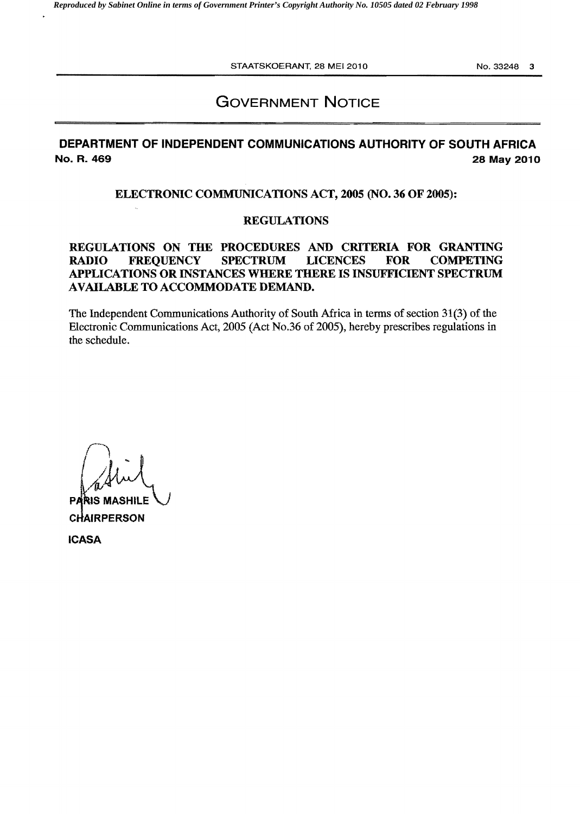STAATSKOERANT, 28 MEI 2010 NO. 33248 3

# **GOVERNMENT NOTICE**

# **DEPARTMENT OF INDEPENDENT COMMUNICATIONS AUTHORITY OF SOUTH AFRICA No. R. 469 28 May 2010**

## **ELECTRONIC COMMUNICATIONS ACT, 2005 (NO. 36 OF 2005):**

## **REGULATIONS**

## **REGULATIONS ON THE PROCEDURES AND CRITERIA FOR GRANTING RADIO FREQUENCY SPECTRUM LICENCES FOR COMPETING APPLICATIONS OR INSTANCES WHERE THERE IS INSUFFICIENT SPECTRUM AVAILABLE TO ACCOMMODATE DEMAND.**

The Independent Communications Authority of South Africa in terms of section 31(3) of the Electronic Communications Act, 2005 (Act No.36 of 2005), hereby prescribes regulations in the schedule.

 $\int$  $\left(\begin{array}{c} \lambda \\ \lambda \end{array}\right)$ *L1j1*  **PARIS MASHIL** 

**CJAIRPERSON** 

**ICASA**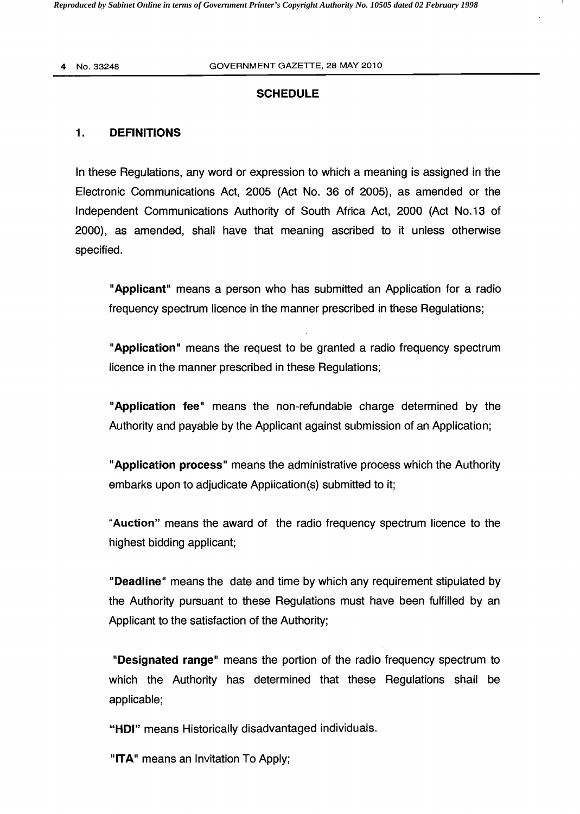## **SCHEDULE**

## 1. **DEFINITIONS**

In these Regulations, any word or expression to which a meaning is assigned in the Electronic Communications Act, 2005 (Act No. 36 of 2005), as amended or the Independent Communications Authority of South Africa Act, 2000 (Act No.13 of 2000), as amended, shall have that meaning ascribed to it unless otherwise specified.

"Applicant" means a person who has submitted an Application for a radio frequency spectrum licence in the manner prescribed in these Regulations;

"Application" means the request to be granted a radio frequency spectrum licence in the manner prescribed in these Regulations;

"Application fee" means the non-refundable charge determined by the Authority and payable by the Applicant against submission of an Application;

"Application process" means the administrative process which the Authority embarks upon to adjudicate Application(s) submitted to it;

"Auction" means the award of the radio frequency spectrum licence to the highest bidding applicant;

"Deadline" means the date and time by which any requirement stipulated by the Authority pursuant to these Regulations must have been fulfilled by an Applicant to the satisfaction of the Authority;

"Designated range" means the portion of the radio frequency spectrum to which the Authority has determined that these Regulations shall be applicable;

"HDI" means Historically disadvantaged individuals.

"ITA" means an Invitation To Apply;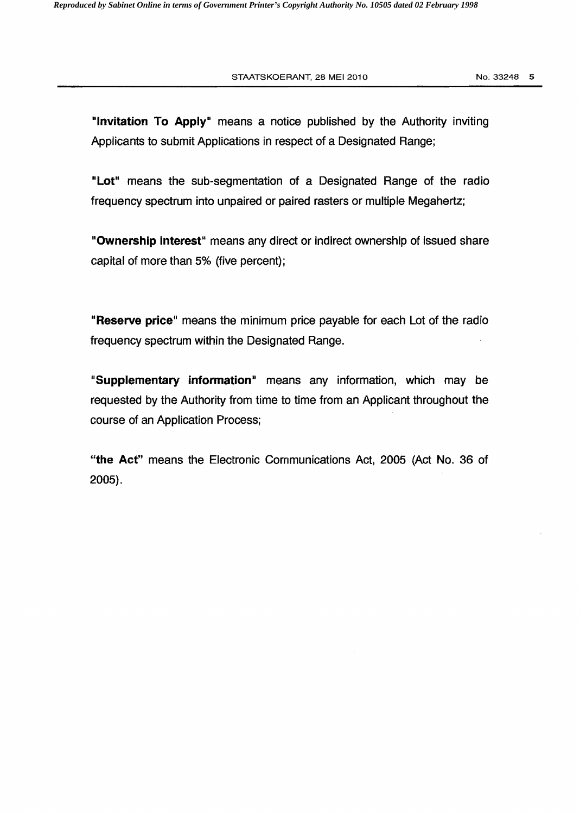"Invitation To Apply" means a notice published by the Authority inviting Applicants to submit Applications in respect of a Designated Range;

"Lot" means the sub-segmentation of a Designated Range of the radio frequency spectrum into unpaired or paired rasters or multiple Megahertz;

"Ownership interest" means any direct or indirect ownership of issued share capital of more than 5% (five percent);

"Reserve price" means the minimum price payable for each Lot of the radio frequency spectrum within the Designated Range.

"Supplementary information" means any information, which may be requested by the Authority from time to time from an Applicant throughout the course of an Application Process;

"the Act" means the Electronic Communications Act, 2005 (Act No. 36 of 2005).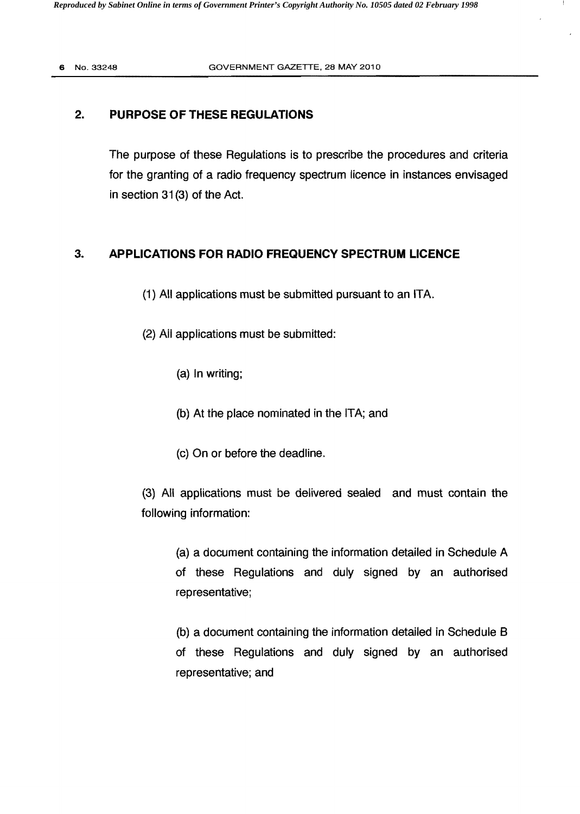## 2. **PURPOSE OF THESE REGULATIONS**

The purpose of these Regulations is to prescribe the procedures and criteria for the granting of a radio frequency spectrum licence in instances envisaged in section 31 (3) of the Act.

## 3. **APPLICATIONS FOR RADIO FREQUENCY SPECTRUM LICENCE**

- (1) All applications must be submitted pursuant to an ITA.
- (2) All applications must be submitted:
	- (a) In writing;
	- (b) At the place nominated in the ITA; and
	- (c) On or before the deadline.

(3) AI! applications must be delivered sealed and must contain the following information:

(a) a document containing the information detailed in Schedule A of these Regulations and duly signed by an authorised representative;

(b) a document containing the information detailed in Schedule B of these Regulations and duly signed by an authorised representative; and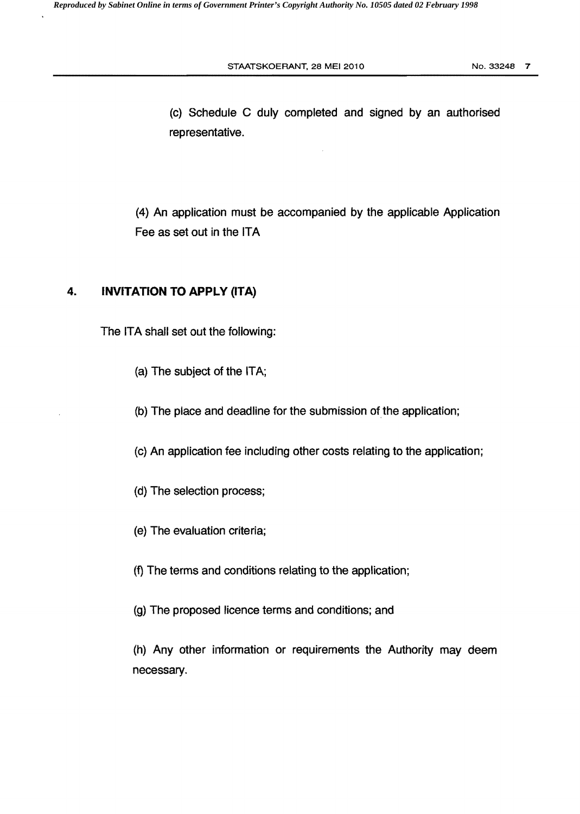STAATSKOERANT, 28 MEI 2010 NO. 33248 7

(c) Schedule C duly completed and signed by an authorised representative.

(4) An application must be accompanied by the applicable Application Fee as set out in the ITA

## **4. INVITATION TO APPLY (ITA)**

The ITA shall set out the following:

- (a) The subject of the ITA;
- (b) The place and deadline for the submission of the application;
- (c) An application fee including other costs relating to the application;
- (d) The selection process;
- (e) The evaluation criteria;
- (f) The terms and conditions relating to the application;
- (g) The proposed licence terms and conditions; and

(h) Any other information or requirements the Authority may deem necessary.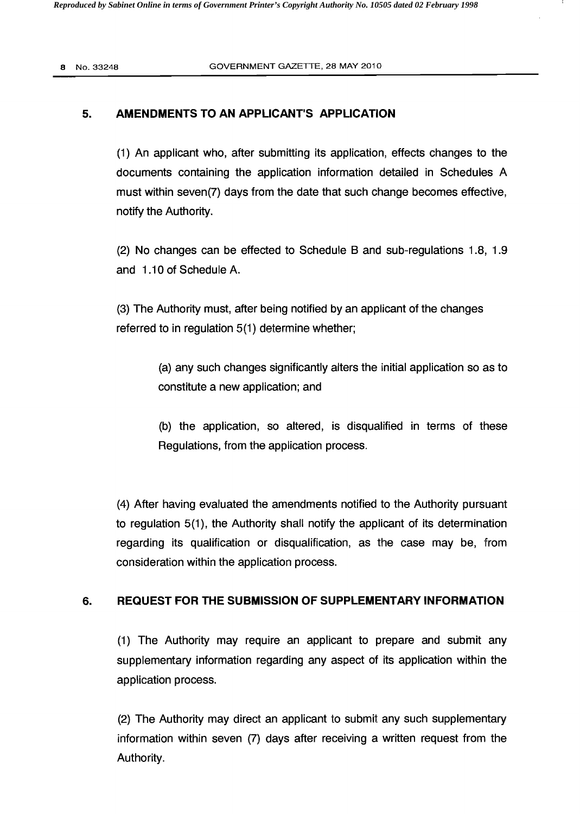### 5. **AMENDMENTS TO AN APPLICANT'S APPLICATION**

(1) An applicant who, after submitting its application, effects changes to the documents containing the application information detailed in Schedules A must within seven(7) days from the date that such change becomes effective, notify the Authority.

(2) No changes can be effected to Schedule B and sub-regulations 1.8, 1.9 and 1.10 of Schedule A.

(3) The Authority must, after being notified by an applicant of the changes referred to in regulation 5(1) determine whether;

> (a) any such changes significantly alters the initial application so as to constitute a new application; and

> (b) the application, so altered, is disqualified in terms of these Regulations, from the application process.

(4) After having evaluated the amendments notified to the Authority pursuant to regulation 5(1), the Authority shall notify the applicant of its determination regarding its qualification or disqualification, as the case may be, from consideration within the application process.

## 6. **REQUEST FOR THE SUBMISSION OF SUPPLEMENTARY INFORMATION**

(1) The Authority may require an applicant to prepare and submit any supplementary information regarding any aspect of its application within the application process.

(2) The Authority may direct an applicant to submit any such supplementary information within seven (7) days after receiving a written request from the Authority.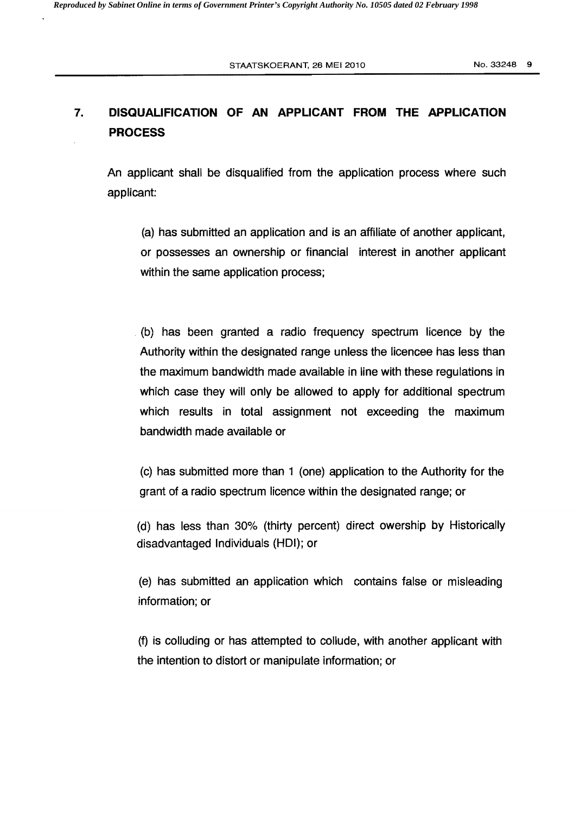# 7. **DISQUALIFICATION OF AN APPLICANT FROM THE APPLICATION PROCESS**

An applicant shall be disqualified from the application process where such applicant:

(a) has submitted an application and is an affiliate of another applicant, or possesses an ownership or financial interest in another applicant within the same application process;

(b) has been granted a radio frequency spectrum licence by the Authority within the designated range unless the licencee has less than the maximum bandwidth made available in line with these regulations in which case they will only be allowed to apply for additional spectrum which results in total assignment not exceeding the maximum bandwidth made available or

(c) has submitted more than 1 (one) application to the Authority for the grant of a radio spectrum licence within the deSignated range; or

(d) has less than 30% (thirty percent) direct owership by Historically disadvantaged Individuals (HOI); or

(e) has submitted an application which contains false or misleading information; or

(f) is colluding or has attempted to collude, with another applicant with the intention to distort or manipulate information; or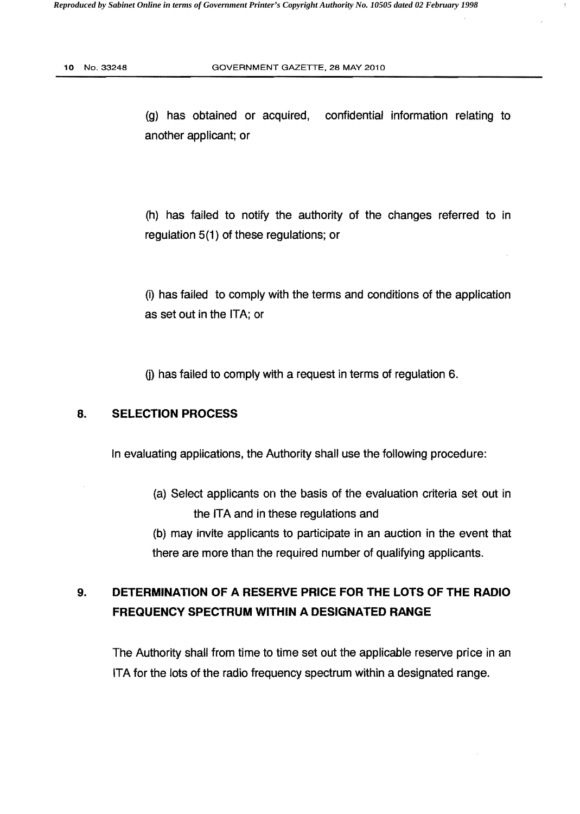(g) has obtained or acquired, confidential information relating to another applicant; or

(h) has failed to notify the authority of the changes referred to in regulation 5(1) of these regulations; or

(i) has failed to comply with the terms and conditions of the application as set out in the ITA; or

 $(i)$  has failed to comply with a request in terms of regulation 6.

## 8. **SELECTION PROCESS**

In evaluating applications, the Authority shall use the following procedure:

- (a) Select applicants on the basis of the evaiuation criteria set out in the ITA and in these regulations and
- (b) may invite applicants to participate in an auction in the event that there are more than the required number of qualifying applicants.

# 9. **DETERMINATION OF A RESERVE PRICE FOR THE LOTS OF THE RADIO FREQUENCY SPECTRUM WITHIN A DESIGNATED RANGE**

The Authority shall from time to time set out the applicable reserve price in an ITA for the lots of the radio frequency spectrum within a designated range.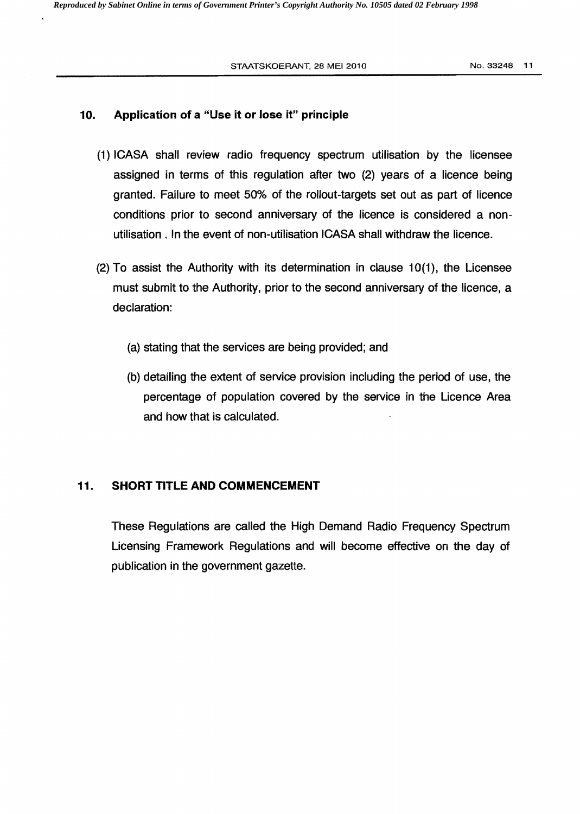#### 10. Application of a "Use it or lose it" principle

- (1) ICASA shall review radio frequency spectrum utilisation by the licensee assigned in terms of this regulation after two (2) years of a licence being granted. Failure to meet 50% of the rollout-targets set out as part of licence conditions prior to second anniversary of the licence is considered a nonutilisation. In the event of non-utilisation ICASA shall withdraw the licence.
- (2) To assist the Authority with its determination in clause 10(1), the Licensee must submit to the Authority, prior to the second anniversary of the licence, a declaration:
	- (a) stating that the services are being provided; and
	- (b) detailing the extent of service provision including the period of use, the percentage of population covered by the service in the Licence Area and how that is calculated.

### 11. SHORT **TITLE AND COMMENCEMENT**

These Regulations are called the High Demand Radio Frequency Spectrum Licensing Framework Regulations and will become effective on the day of publication in the government gazette.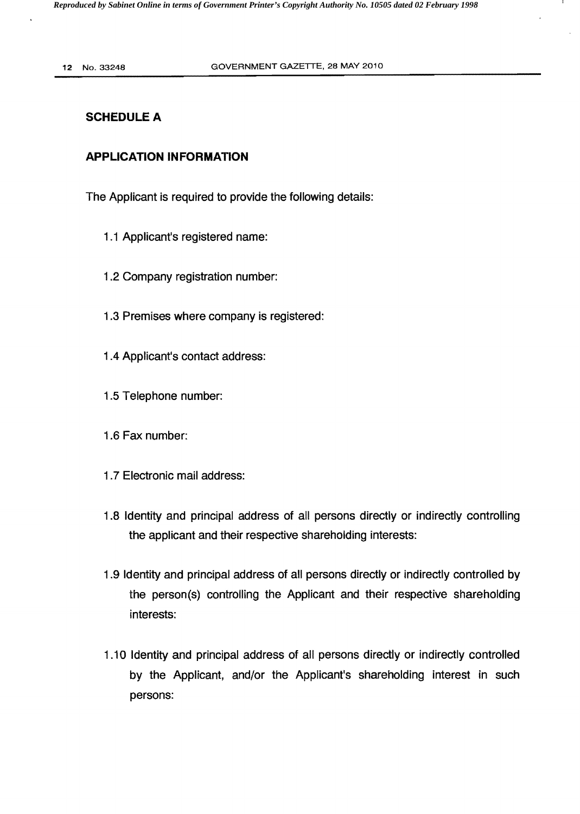## SCHEDULE A

## **APPLICATION INFORMATION**

The Applicant is required to provide the following details:

- 1.1 Applicant's registered name:
- 1.2 Company registration number:
- 1.3 Premises where company is registered:
- 1.4 Applicant's contact address:
- 1.5 Telephone number:
- 1.6 Fax number:
- 1.7 Electronic mail address:
- 1.8 Identity and principal address of all persons directly or indirectly controlling the applicant and their respective shareholding interests:
- 1.9 Identity and principal address of all persons directly or indirectly controlled by the person(s) controlling the Applicant and their respective shareholding interests:
- 1.10 Identity and principal address of all persons directly or indirectly controlled by the Applicant, and/or the Applicant's shareholding interest in such persons: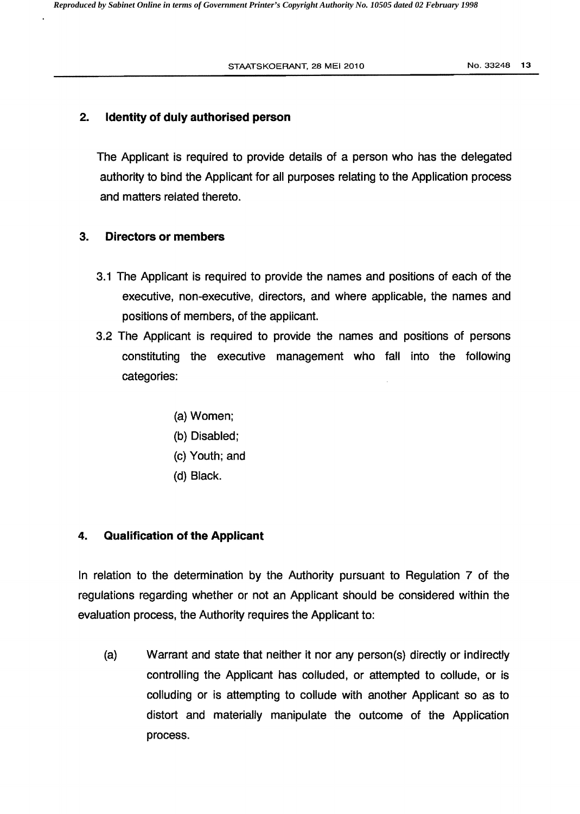#### 2. Identity of duly authorised person

The Applicant is required to provide details of a person who has the delegated authority to bind the Applicant for all purposes relating to the Application process and matters related thereto.

#### 3. Directors or members

- 3.1 The Applicant is required to provide the names and positions of each of the executive, non-executive, directors, and where applicable, the names and positions of members, of the applicant.
- 3.2 The Applicant is required to provide the names and positions of persons constituting the executive management who fall into the following categories:
	- (a) Women;
	- (b) Disabled;
	- (c) Youth; and
	- (d) Black.

#### 4. Qualification of the Applicant

In relation to the determination by the Authority pursuant to Regulation 7 of the regulations regarding whether or not an Applicant should be considered within the evaluation process, the Authority requires the Applicant to:

(a) Warrant and state that neither it nor any person(s) directly or indirectly controlling the Applicant has colluded, or attempted to collude, or is colluding or is attempting to collude with another Applicant so as to distort and materially manipulate the outcome of the Application process.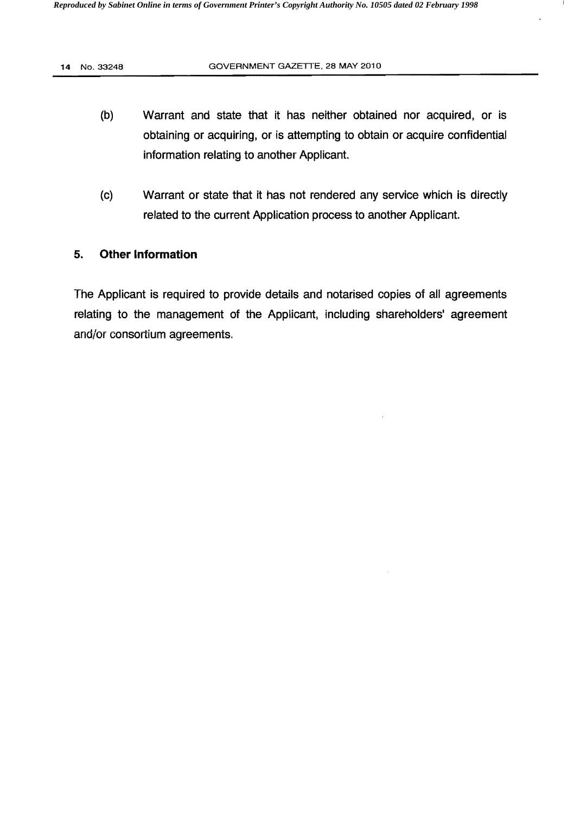- (b) Warrant and state that it has neither obtained nor acquired, or is obtaining or acquiring, or is attempting to obtain or acquire confidential information relating to another Applicant.
- (c) Warrant or state that it has not rendered any service which is directly related to the current Application process to another Applicant.

## 5. **Other Information**

The Applicant is required to provide details and notarised copies of all agreements relating to the management of the Applicant, including shareholders' agreement and/or consortium agreements.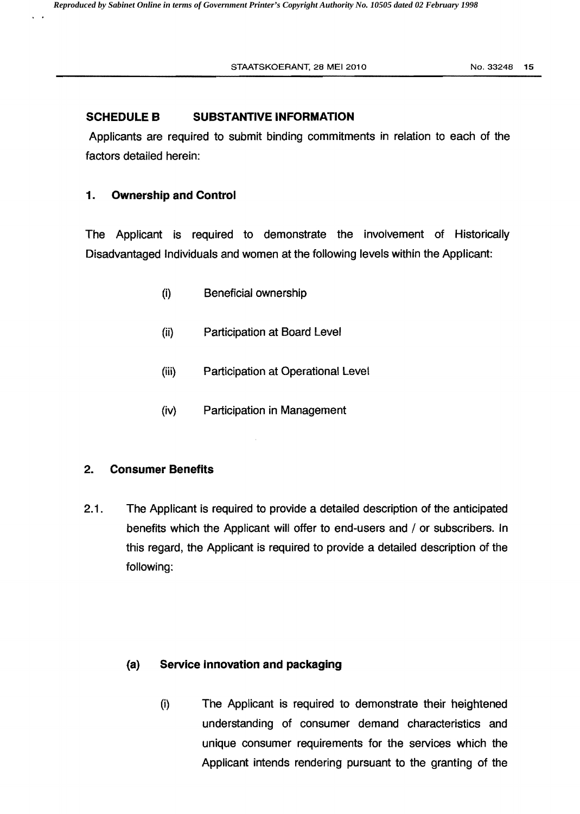## SCHEDULE **B** SUBSTANTIVE INFORMATION

Applicants are required to submit binding commitments in relation to each of the factors detailed herein:

## 1. **Ownership and Control**

The Applicant is required to demonstrate the involvement of Historically Disadvantaged Individuals and women at the following levels within the Applicant:

- (i) Beneficial ownership
- (ii) Participation at Board Level
- (iii) Participation at Operational Level
- (iv) Participation in Management

## 2. **Consumer Benefits**

2.1 . The Applicant is required to provide a detailed description of the anticipated benefits which the Applicant will offer to end-users and / or subscribers. In this regard, the Applicant is required to provide a detailed description of the following:

## (a) **Service innovation and packaging**

(i) The Applicant is required to demonstrate their heightened understanding of consumer demand characteristics and unique consumer requirements for the services which the Applicant intends rendering pursuant to the granting of the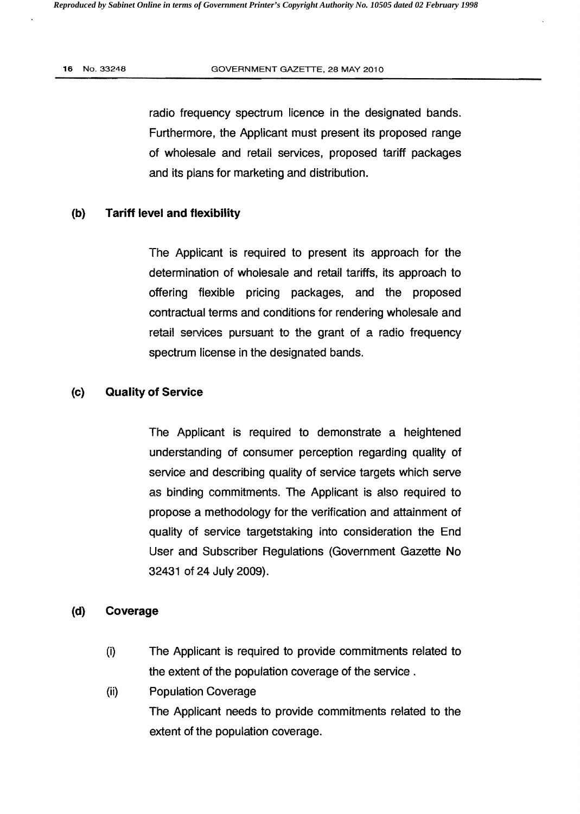radio frequency spectrum licence in the designated bands. Furthermore, the Applicant must present its proposed range of wholesale and retail services, proposed tariff packages and its plans for marketing and distribution.

#### (b) Tariff level and flexibility

The Applicant is required to present its approach for the determination of wholesale and retail tariffs, its approach to offering flexible pricing packages, and the proposed contractual terms and conditions for rendering wholesale and retail services pursuant to the grant of a radio frequency spectrum license in the designated bands.

#### (c) Quality of Service

The Applicant is required to demonstrate a heightened understanding of consumer perception regarding quality of service and describing quality of service targets which serve as binding commitments. The Applicant is also required to propose a methodology for the verification and attainment of quality of service targetstaking into consideration the End User and Subscriber Regulations (Government Gazette No 32431 of 24 July 2009).

#### (d) Coverage

- (i) The Applicant is required to provide commitments related to the extent of the population coverage of the service.
- (ii) Population Coverage The Applicant needs to provide commitments related to the extent of the population coverage.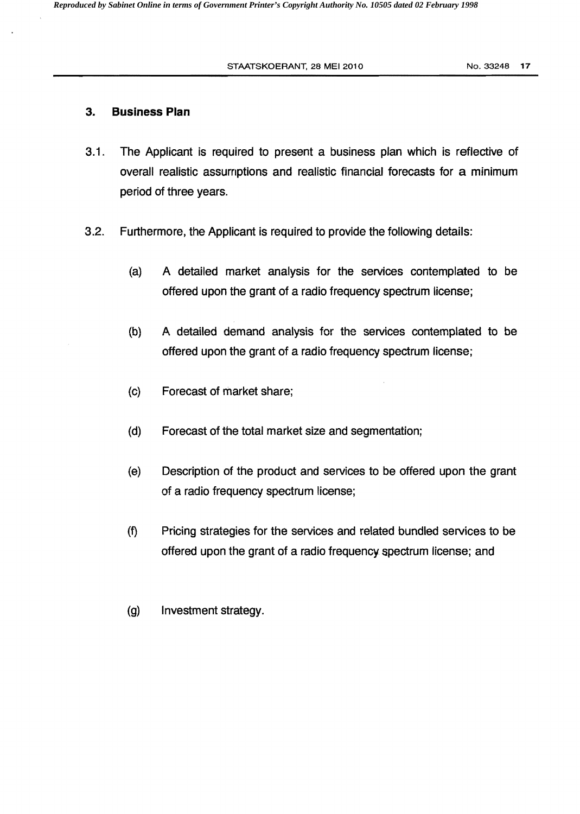#### STAATSKOERANT, 28 MEI 2010 No. 33248 17

### 3. **Business Plan**

- 3.1 . The Applicant is required to present a business plan which is reflective of overall realistic assumptions and realistic financial forecasts for a minimum period of three years.
- 3.2. Furthermore, the Applicant is required to provide the following details:
	- (a) A detailed market analysis for the services contemplated to be offered upon the grant of a radio frequency spectrum license;
	- (b) A detailed demand analysis for the services contemplated to be offered upon the grant of a radio frequency spectrum license;
	- (c) Forecast of market share;
	- (d) Forecast of the total market size and segmentation;
	- (e) Description of the product and services to be offered upon the grant of a radio frequency spectrum license;
	- (1) Pricing strategies for the services and related bundled services to be offered upon the grant of a radio frequency. spectrum license; and
	- (g) Investment strategy.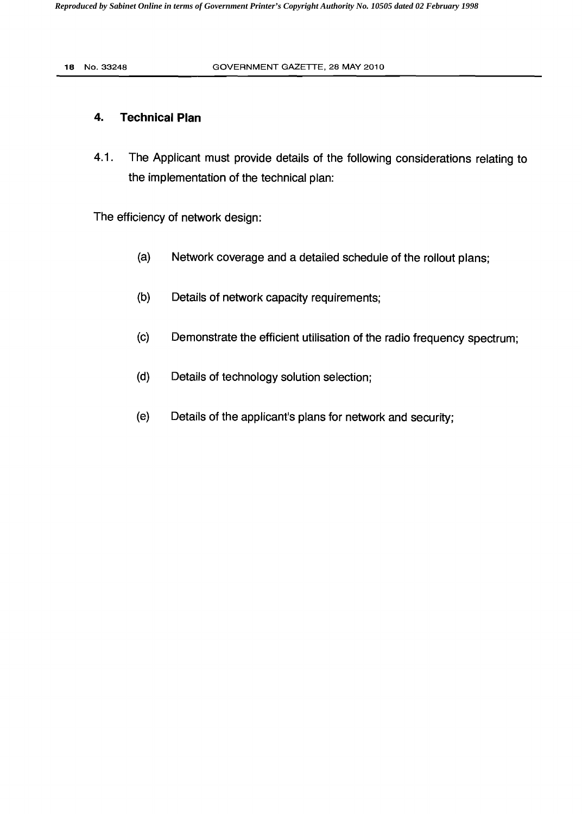## **4. Technical Plan**

4.1 . The Applicant must provide details of the following considerations relating to the implementation of the technical plan:

The efficiency of network design:

- (a) Network coverage and a detailed schedule of the rollout plans;
- (b) Details of network capacity requirements;
- (c) Demonstrate the efficient utilisation of the radio frequency spectrum;
- (d) Details of technology solution selection;
- (e) Details of the applicant's plans for network and security;